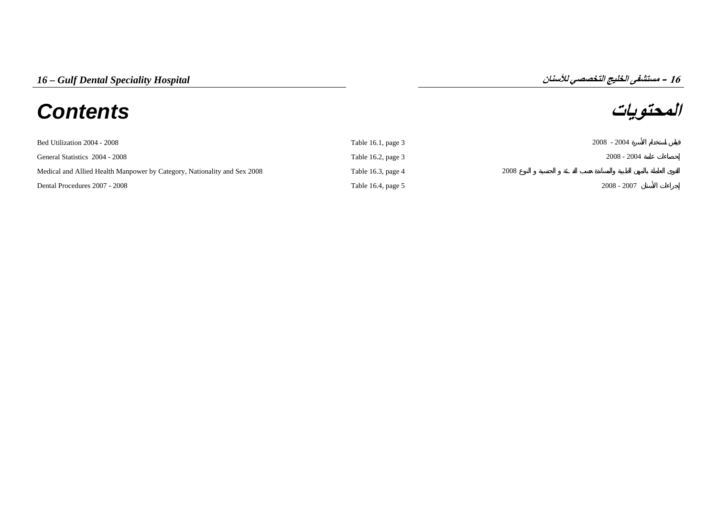## **المحتويات** *Contents*

**16**

| Bed Utilization 2004 - 2008                                              | Table 16.1, page $3$ |      | $2008 - 2004$ |
|--------------------------------------------------------------------------|----------------------|------|---------------|
| General Statistics 2004 - 2008                                           | Table 16.2, page $3$ |      | $2008 - 2004$ |
| Medical and Allied Health Manpower by Category, Nationality and Sex 2008 | Table 16.3, page 4   | 2008 |               |
| Dental Procedures 2007 - 2008                                            | Table 16.4, page $5$ |      | $2008 - 2007$ |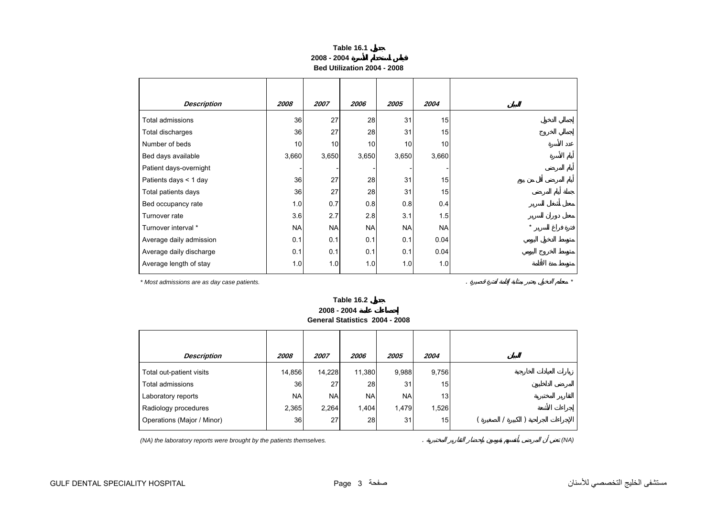## **Table 16.1 2008 - 2004Bed Utilization 2004 - 2008**

<span id="page-2-0"></span>

| <b>Description</b>      | 2008      | 2007      | 2006      | 2005      | 2004      |
|-------------------------|-----------|-----------|-----------|-----------|-----------|
| Total admissions        | 36        | 27        | 28        | 31        | 15        |
| Total discharges        | 36        | 27        | 28        | 31        | 15        |
| Number of beds          | 10        | 10        | 10        | 10        | 10        |
| Bed days available      | 3,660     | 3,650     | 3,650     | 3,650     | 3,660     |
| Patient days-overnight  |           |           |           |           |           |
| Patients days < 1 day   | 36        | 27        | 28        | 31        | 15        |
| Total patients days     | 36        | 27        | 28        | 31        | 15        |
| Bed occupancy rate      | 1.0       | 0.7       | 0.8       | 0.8       | 0.4       |
| Turnover rate           | 3.6       | 2.7       | 2.8       | 3.1       | 1.5       |
| Turnover interval *     | <b>NA</b> | <b>NA</b> | <b>NA</b> | <b>NA</b> | <b>NA</b> |
| Average daily admission | 0.1       | 0.1       | 0.1       | 0.1       | 0.04      |
| Average daily discharge | 0.1       | 0.1       | 0.1       | 0.1       | 0.04      |
| Average length of stay  | 1.0       | 1.0       | 1.0       | 1.0       | 1.0       |

*\* Most admissions are as day case patients.* . *\**

**Table 16.2 2008 - 2004General Statistics 2004 - 2008**

| <b>Description</b>         | 2008      | 2007       | 2006      | 2005      | 2004            |  |  |  |
|----------------------------|-----------|------------|-----------|-----------|-----------------|--|--|--|
| Total out-patient visits   | 14,856    | 14,228     | 11,380    | 9,988     | 9,756           |  |  |  |
| Total admissions           | 36        | 27         | 28        | 31        | 15              |  |  |  |
| Laboratory reports         | <b>NA</b> | <b>NAI</b> | <b>NA</b> | <b>NA</b> | 13 <sub>1</sub> |  |  |  |
| Radiology procedures       | 2,365     | 2,264      | 1,404     | 1,479     | 1,526           |  |  |  |
| Operations (Major / Minor) | 36        | 27         | 28        | 31        | 15 <sub>1</sub> |  |  |  |
|                            |           |            |           |           |                 |  |  |  |

*(NA) the laboratory reports were brought by the patients themselves.* . *(NA)*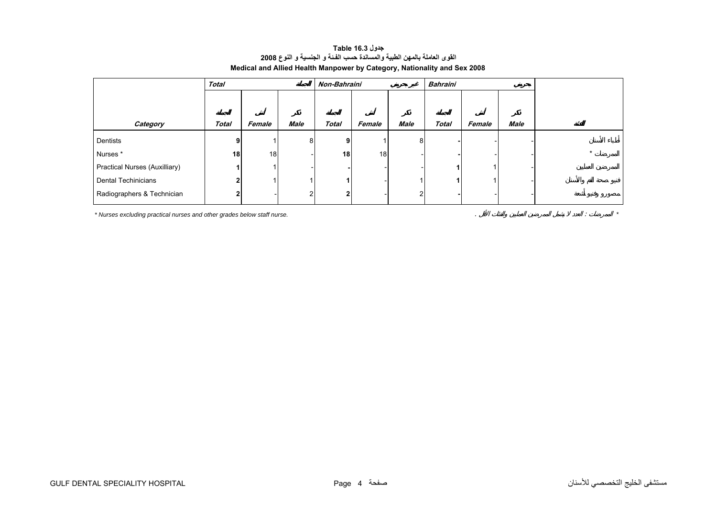## **جدول 16.3 Table القوى العاملة بالمهن الطبية والمساندة حسب الفـئة <sup>و</sup> الجنسية <sup>و</sup> النوع <sup>2008</sup> Medical and Allied Health Manpower by Category, Nationality and Sex 2008**

<span id="page-3-0"></span>

|                                      | <b>Total</b> |        |             | Non-Bahraini   |                 |             | <b>Bahraini</b> |        |             |  |
|--------------------------------------|--------------|--------|-------------|----------------|-----------------|-------------|-----------------|--------|-------------|--|
|                                      |              |        |             |                |                 |             |                 |        |             |  |
|                                      |              |        |             |                |                 |             |                 |        |             |  |
| Category                             | <b>Total</b> | Female | <b>Male</b> | <b>Total</b>   | Female          | <b>Male</b> | <b>Total</b>    | Female | <b>Male</b> |  |
| Dentists                             | 9            |        | 8           | 9 <sup>1</sup> |                 | 8           |                 |        |             |  |
| Nurses*                              | 18           | 18     |             | 18             | 18 <sup>1</sup> |             |                 |        |             |  |
| <b>Practical Nurses (Auxilliary)</b> |              |        |             |                |                 |             |                 |        |             |  |
| Dental Techinicians                  | 2            |        |             |                |                 |             |                 |        |             |  |
| Radiographers & Technician           | 2            |        |             | $\mathbf{2}$   |                 | 2           |                 |        |             |  |

*\* Nurses excluding practical nurses and other grades below staff nurse.* . : *\**